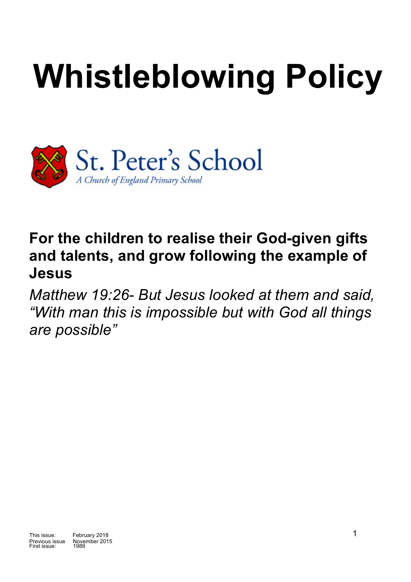# **Whistleblowing Policy**



## **For the children to realise their God-given gifts and talents, and grow following the example of Jesus**

*Matthew 19:26- But Jesus looked at them and said, "With man this is impossible but with God all things are possible"*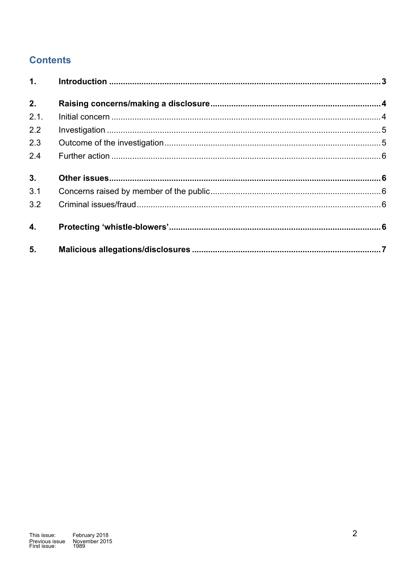### **Contents**

| 1.   |  |
|------|--|
| 2.   |  |
| 2.1. |  |
| 2.2  |  |
| 2.3  |  |
| 2.4  |  |
| 3.   |  |
| 3.1  |  |
| 3.2  |  |
| 4.   |  |
| 5.   |  |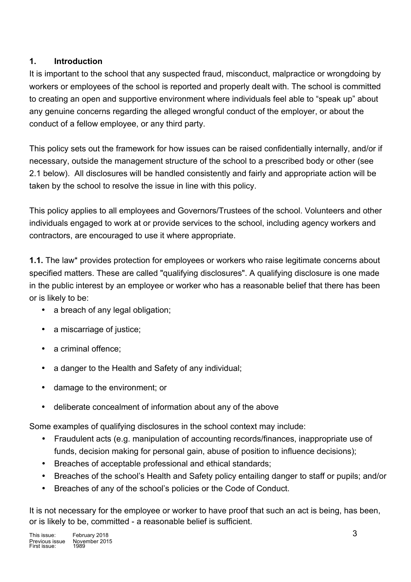#### **1. Introduction**

It is important to the school that any suspected fraud, misconduct, malpractice or wrongdoing by workers or employees of the school is reported and properly dealt with. The school is committed to creating an open and supportive environment where individuals feel able to "speak up" about any genuine concerns regarding the alleged wrongful conduct of the employer, or about the conduct of a fellow employee, or any third party.

This policy sets out the framework for how issues can be raised confidentially internally, and/or if necessary, outside the management structure of the school to a prescribed body or other (see 2.1 below). All disclosures will be handled consistently and fairly and appropriate action will be taken by the school to resolve the issue in line with this policy.

This policy applies to all employees and Governors/Trustees of the school. Volunteers and other individuals engaged to work at or provide services to the school, including agency workers and contractors, are encouraged to use it where appropriate.

**1.1.** The law\* provides protection for employees or workers who raise legitimate concerns about specified matters. These are called "qualifying disclosures". A qualifying disclosure is one made in the public interest by an employee or worker who has a reasonable belief that there has been or is likely to be:

- a breach of any legal obligation;
- a miscarriage of justice:
- a criminal offence:
- a danger to the Health and Safety of any individual;
- damage to the environment; or
- deliberate concealment of information about any of the above

Some examples of qualifying disclosures in the school context may include:

- Fraudulent acts (e.g. manipulation of accounting records/finances, inappropriate use of funds, decision making for personal gain, abuse of position to influence decisions);
- Breaches of acceptable professional and ethical standards;
- Breaches of the school's Health and Safety policy entailing danger to staff or pupils; and/or
- Breaches of any of the school's policies or the Code of Conduct.

It is not necessary for the employee or worker to have proof that such an act is being, has been, or is likely to be, committed - a reasonable belief is sufficient.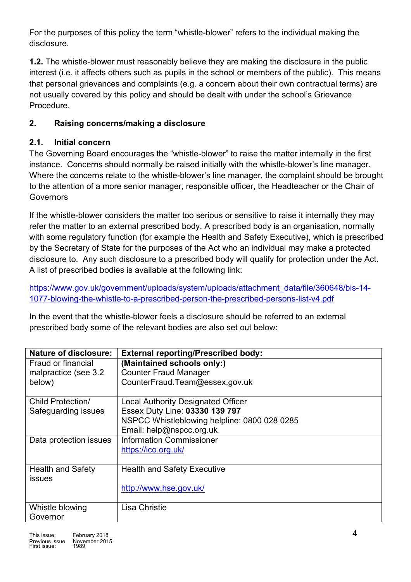For the purposes of this policy the term "whistle-blower" refers to the individual making the disclosure.

**1.2.** The whistle-blower must reasonably believe they are making the disclosure in the public interest (i.e. it affects others such as pupils in the school or members of the public). This means that personal grievances and complaints (e.g. a concern about their own contractual terms) are not usually covered by this policy and should be dealt with under the school's Grievance Procedure.

#### **2. Raising concerns/making a disclosure**

#### **2.1. Initial concern**

The Governing Board encourages the "whistle-blower" to raise the matter internally in the first instance. Concerns should normally be raised initially with the whistle-blower's line manager. Where the concerns relate to the whistle-blower's line manager, the complaint should be brought to the attention of a more senior manager, responsible officer, the Headteacher or the Chair of Governors

If the whistle-blower considers the matter too serious or sensitive to raise it internally they may refer the matter to an external prescribed body. A prescribed body is an organisation, normally with some regulatory function (for example the Health and Safety Executive), which is prescribed by the Secretary of State for the purposes of the Act who an individual may make a protected disclosure to. Any such disclosure to a prescribed body will qualify for protection under the Act. A list of prescribed bodies is available at the following link:

https://www.gov.uk/government/uploads/system/uploads/attachment\_data/file/360648/bis-14-1077-blowing-the-whistle-to-a-prescribed-person-the-prescribed-persons-list-v4.pdf

In the event that the whistle-blower feels a disclosure should be referred to an external prescribed body some of the relevant bodies are also set out below:

| Nature of disclosure:    | <b>External reporting/Prescribed body:</b>   |
|--------------------------|----------------------------------------------|
| Fraud or financial       | (Maintained schools only:)                   |
| malpractice (see 3.2     | <b>Counter Fraud Manager</b>                 |
| below)                   | CounterFraud.Team@essex.gov.uk               |
|                          |                                              |
| Child Protection/        | <b>Local Authority Designated Officer</b>    |
| Safeguarding issues      | Essex Duty Line: 03330 139 797               |
|                          | NSPCC Whistleblowing helpline: 0800 028 0285 |
|                          | Email: help@nspcc.org.uk                     |
| Data protection issues   | <b>Information Commissioner</b>              |
|                          | https://ico.org.uk/                          |
|                          |                                              |
| <b>Health and Safety</b> | <b>Health and Safety Executive</b>           |
| <b>issues</b>            |                                              |
|                          | http://www.hse.gov.uk/                       |
|                          |                                              |
| Whistle blowing          | <b>Lisa Christie</b>                         |
| Governor                 |                                              |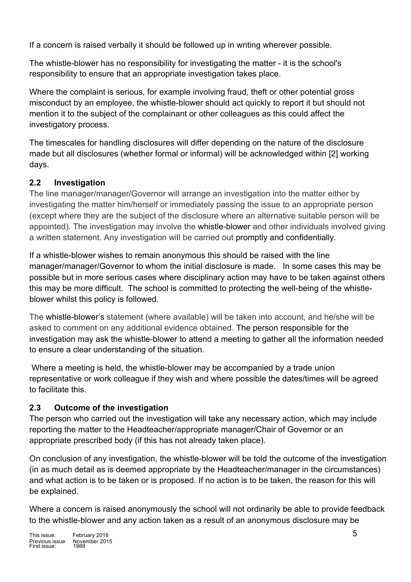If a concern is raised verbally it should be followed up in writing wherever possible.

The whistle-blower has no responsibility for investigating the matter - it is the school's responsibility to ensure that an appropriate investigation takes place.

Where the complaint is serious, for example involving fraud, theft or other potential gross misconduct by an employee, the whistle-blower should act quickly to report it but should not mention it to the subject of the complainant or other colleagues as this could affect the investigatory process.

The timescales for handling disclosures will differ depending on the nature of the disclosure made but all disclosures (whether formal or informal) will be acknowledged within [2] working days.

#### **2.2 Investigation**

The line manager/manager/Governor will arrange an investigation into the matter either by investigating the matter him/herself or immediately passing the issue to an appropriate person (except where they are the subject of the disclosure where an alternative suitable person will be appointed). The investigation may involve the whistle-blower and other individuals involved giving a written statement. Any investigation will be carried out promptly and confidentially.

If a whistle-blower wishes to remain anonymous this should be raised with the line manager/manager/Governor to whom the initial disclosure is made. In some cases this may be possible but in more serious cases where disciplinary action may have to be taken against others this may be more difficult. The school is committed to protecting the well-being of the whistleblower whilst this policy is followed.

The whistle-blower's statement (where available) will be taken into account, and he/she will be asked to comment on any additional evidence obtained. The person responsible for the investigation may ask the whistle-blower to attend a meeting to gather all the information needed to ensure a clear understanding of the situation.

Where a meeting is held, the whistle-blower may be accompanied by a trade union representative or work colleague if they wish and where possible the dates/times will be agreed to facilitate this.

#### **2.3 Outcome of the investigation**

The person who carried out the investigation will take any necessary action, which may include reporting the matter to the Headteacher/appropriate manager/Chair of Governor or an appropriate prescribed body (if this has not already taken place).

On conclusion of any investigation, the whistle-blower will be told the outcome of the investigation (in as much detail as is deemed appropriate by the Headteacher/manager in the circumstances) and what action is to be taken or is proposed. If no action is to be taken, the reason for this will be explained.

Where a concern is raised anonymously the school will not ordinarily be able to provide feedback to the whistle-blower and any action taken as a result of an anonymous disclosure may be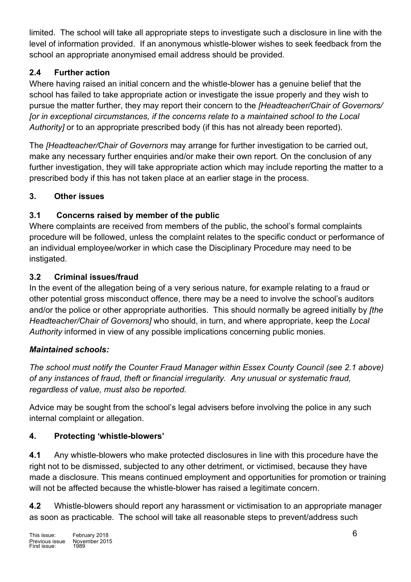limited. The school will take all appropriate steps to investigate such a disclosure in line with the level of information provided. If an anonymous whistle-blower wishes to seek feedback from the school an appropriate anonymised email address should be provided.

#### **2.4 Further action**

Where having raised an initial concern and the whistle-blower has a genuine belief that the school has failed to take appropriate action or investigate the issue properly and they wish to pursue the matter further, they may report their concern to the *[Headteacher/Chair of Governors/ [or in exceptional circumstances, if the concerns relate to a maintained school to the Local Authority]* or to an appropriate prescribed body (if this has not already been reported).

The *[Headteacher/Chair of Governors* may arrange for further investigation to be carried out, make any necessary further enquiries and/or make their own report. On the conclusion of any further investigation, they will take appropriate action which may include reporting the matter to a prescribed body if this has not taken place at an earlier stage in the process.

#### **3. Other issues**

#### **3.1 Concerns raised by member of the public**

Where complaints are received from members of the public, the school's formal complaints procedure will be followed, unless the complaint relates to the specific conduct or performance of an individual employee/worker in which case the Disciplinary Procedure may need to be instigated.

#### **3.2 Criminal issues/fraud**

In the event of the allegation being of a very serious nature, for example relating to a fraud or other potential gross misconduct offence, there may be a need to involve the school's auditors and/or the police or other appropriate authorities. This should normally be agreed initially by *[the Headteacher/Chair of Governors]* who should, in turn, and where appropriate, keep the *Local Authority* informed in view of any possible implications concerning public monies.

#### *Maintained schools:*

*The school must notify the Counter Fraud Manager within Essex County Council (see 2.1 above) of any instances of fraud, theft or financial irregularity. Any unusual or systematic fraud, regardless of value, must also be reported.*

Advice may be sought from the school's legal advisers before involving the police in any such internal complaint or allegation.

#### **4. Protecting 'whistle-blowers'**

**4.1** Any whistle-blowers who make protected disclosures in line with this procedure have the right not to be dismissed, subjected to any other detriment, or victimised, because they have made a disclosure. This means continued employment and opportunities for promotion or training will not be affected because the whistle-blower has raised a legitimate concern.

**4.2** Whistle-blowers should report any harassment or victimisation to an appropriate manager as soon as practicable. The school will take all reasonable steps to prevent/address such